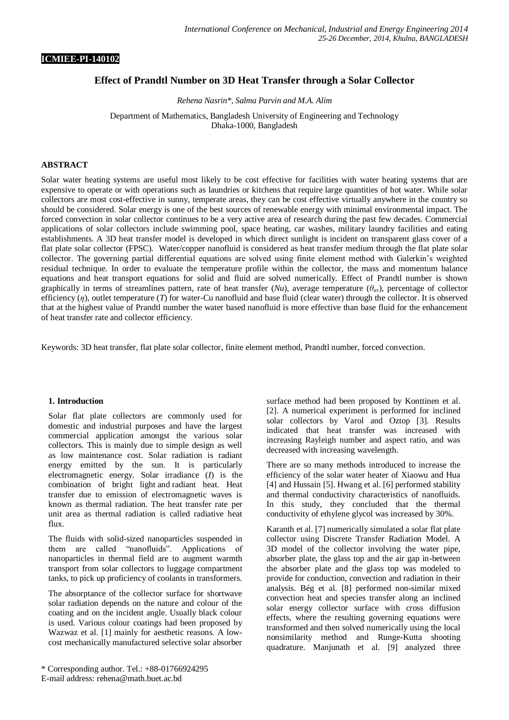### **ICMIEE-PI-140102**

## **Effect of Prandtl Number on 3D Heat Transfer through a Solar Collector**

*Rehena Nasrin\*, Salma Parvin and M.A. Alim*

Department of Mathematics, Bangladesh University of Engineering and Technology Dhaka-1000, Bangladesh

### **ABSTRACT**

Solar water heating systems are useful most likely to be cost effective for facilities with water heating systems that are expensive to operate or with operations such as laundries or kitchens that require large quantities of hot water. While solar collectors are most cost-effective in sunny, temperate areas, they can be cost effective virtually anywhere in the country so should be considered. Solar energy is one of the best sources of renewable energy with minimal environmental impact. The forced convection in solar collector continues to be a very active area of research during the past few decades. Commercial applications of solar collectors include swimming pool, space heating, car washes, military laundry facilities and eating establishments. A 3D heat transfer model is developed in which direct sunlight is incident on transparent glass cover of a flat plate solar collector (FPSC). Water/copper nanofluid is considered as heat transfer medium through the flat plate solar collector. The governing partial differential equations are solved using finite element method with Galerkin's weighted residual technique. In order to evaluate the temperature profile within the collector, the mass and momentum balance equations and heat transport equations for solid and fluid are solved numerically. Effect of Prandtl number is shown graphically in terms of streamlines pattern, rate of heat transfer (*Nu*), average temperature (*θav*), percentage of collector efficiency (*η*), outlet temperature (*T*) for water-Cu nanofluid and base fluid (clear water) through the collector. It is observed that at the highest value of Prandtl number the water based nanofluid is more effective than base fluid for the enhancement of heat transfer rate and collector efficiency.

Keywords: 3D heat transfer, flat plate solar collector, finite element method, Prandtl number, forced convection.

### **1. Introduction**

Solar flat plate collectors are commonly used for domestic and industrial purposes and have the largest commercial application amongst the various solar collectors. This is mainly due to simple design as well as low maintenance cost. Solar radiation is radiant energy emitted by the sun. It is particularly electromagnetic energy. Solar irradiance (*I*) is the combination of bright [light](http://en.wikipedia.org/wiki/Light) and [radiant heat.](http://en.wikipedia.org/wiki/Radiant_heat) Heat transfer due to emission of electromagnetic waves is known as thermal radiation. The heat transfer rate per unit area as thermal radiation is called radiative heat flux.

The fluids with solid-sized nanoparticles suspended in them are called "nanofluids". Applications of nanoparticles in thermal field are to augment warmth transport from solar collectors to luggage compartment tanks, to pick up proficiency of coolants in transformers.

The absorptance of the collector surface for shortwave solar radiation depends on the nature and colour of the coating and on the incident angle. Usually black colour is used. Various colour coatings had been proposed by Wazwaz et al. [1] mainly for aesthetic reasons. A lowcost mechanically manufactured selective solar absorber

\* Corresponding author. Tel.: +88-01766924295 E-mail address: rehena@math.buet.ac.bd

surface method had been proposed by Konttinen et al. [2]. A numerical experiment is performed for inclined solar collectors by Varol and Oztop [3]. Results indicated that heat transfer was increased with increasing Rayleigh number and aspect ratio, and was decreased with increasing wavelength.

There are so many methods introduced to increase the efficiency of the solar water heater of Xiaowu and Hua [4] and Hussain [5]. Hwang et al. [6] performed stability and thermal conductivity characteristics of nanofluids. In this study, they concluded that the thermal conductivity of ethylene glycol was increased by 30%.

Karanth et al. [7] numerically simulated a solar flat plate collector using Discrete Transfer Radiation Model. A 3D model of the collector involving the water pipe, absorber plate, the glass top and the air gap in-between the absorber plate and the glass top was modeled to provide for conduction, convection and radiation in their analysis. Bég et al. [8] performed non-similar mixed convection heat and species transfer along an inclined solar energy collector surface with cross diffusion effects, where the resulting governing equations were transformed and then solved numerically using the local nonsimilarity method and Runge-Kutta shooting quadrature. Manjunath et al. [9] analyzed three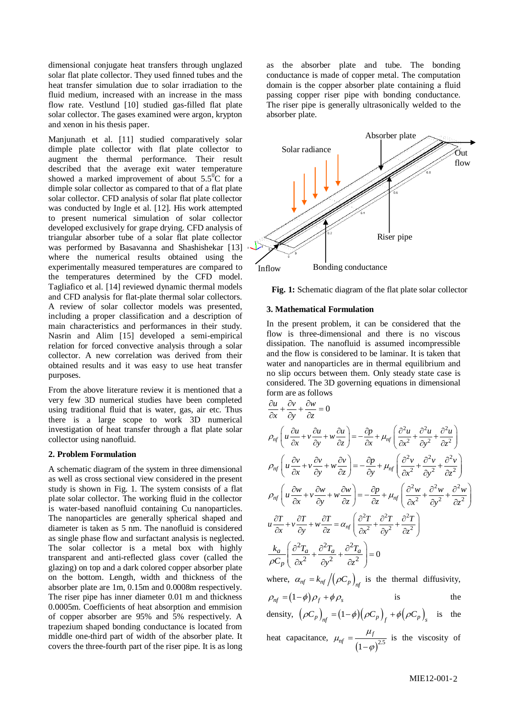dimensional conjugate heat transfers through unglazed solar flat plate collector. They used finned tubes and the heat transfer simulation due to solar irradiation to the fluid medium, increased with an increase in the mass flow rate. Vestlund [10] studied gas-filled flat plate solar collector. The gases examined were argon, krypton and xenon in his thesis paper.

Manjunath et al. [11] studied comparatively solar dimple plate collector with flat plate collector to augment the thermal performance. Their result described that the average exit water temperature showed a marked improvement of about  $5.5^{\circ}$ C for a dimple solar collector as compared to that of a flat plate solar collector. CFD analysis of solar flat plate collector was conducted by Ingle et al. [12]. His work attempted to present numerical simulation of solar collector developed exclusively for grape drying. CFD analysis of triangular absorber tube of a solar flat plate collector was performed by Basavanna and Shashishekar [13] where the numerical results obtained using the experimentally measured temperatures are compared to the temperatures determined by the CFD model. Tagliafico et al. [14] reviewed dynamic thermal models and CFD analysis for flat-plate thermal solar collectors. A review of solar collector models was presented, including a proper classification and a description of main characteristics and performances in their study. Nasrin and Alim [15] developed a semi-empirical relation for forced convective analysis through a solar collector. A new correlation was derived from their obtained results and it was easy to use heat transfer purposes.

From the above literature review it is mentioned that a very few 3D numerical studies have been completed using traditional fluid that is water, gas, air etc. Thus there is a large scope to work 3D numerical investigation of heat transfer through a flat plate solar collector using nanofluid.

### **2. Problem Formulation**

A schematic diagram of the system in three dimensional as well as cross sectional view considered in the present study is shown in Fig. 1. The system consists of a flat plate solar collector. The working fluid in the collector is water-based nanofluid containing Cu nanoparticles. The nanoparticles are generally spherical shaped and diameter is taken as 5 nm. The nanofluid is considered as single phase flow and surfactant analysis is neglected. The solar collector is a metal box with highly transparent and anti-reflected glass cover (called the glazing) on top and a dark colored copper absorber plate on the bottom. Length, width and thickness of the absorber plate are 1m, 0.15m and 0.0008m respectively. The riser pipe has inner diameter 0.01 m and thickness 0.0005m. Coefficients of heat absorption and emmision of copper absorber are 95% and 5% respectively. A trapezium shaped bonding conductance is located from middle one-third part of width of the absorber plate. It covers the three-fourth part of the riser pipe. It is as long

as the absorber plate and tube. The bonding conductance is made of copper metal. The computation domain is the copper absorber plate containing a fluid passing copper riser pipe with bonding conductance. The riser pipe is generally ultrasonically welded to the absorber plate.





#### **3. Mathematical Formulation**

In the present problem, it can be considered that the flow is three-dimensional and there is no viscous dissipation. The nanofluid is assumed incompressible and the flow is considered to be laminar. It is taken that water and nanoparticles are in thermal equilibrium and no slip occurs between them. Only steady state case is considered. The 3D governing equations in dimensional form are as follows

$$
\frac{\partial u}{\partial x} + \frac{\partial v}{\partial y} + \frac{\partial w}{\partial z} = 0
$$
\n
$$
\rho_{nf} \left( u \frac{\partial u}{\partial x} + v \frac{\partial u}{\partial y} + w \frac{\partial u}{\partial z} \right) = -\frac{\partial p}{\partial x} + \mu_{nf} \left( \frac{\partial^2 u}{\partial x^2} + \frac{\partial^2 u}{\partial y^2} + \frac{\partial^2 u}{\partial z^2} \right)
$$
\n
$$
\rho_{nf} \left( u \frac{\partial v}{\partial x} + v \frac{\partial v}{\partial y} + w \frac{\partial v}{\partial z} \right) = -\frac{\partial p}{\partial y} + \mu_{nf} \left( \frac{\partial^2 v}{\partial x^2} + \frac{\partial^2 v}{\partial y^2} + \frac{\partial^2 v}{\partial z^2} \right)
$$
\n
$$
\rho_{nf} \left( u \frac{\partial w}{\partial x} + v \frac{\partial w}{\partial y} + w \frac{\partial w}{\partial z} \right) = -\frac{\partial p}{\partial z} + \mu_{nf} \left( \frac{\partial^2 w}{\partial x^2} + \frac{\partial^2 w}{\partial y^2} + \frac{\partial^2 w}{\partial z^2} \right)
$$
\n
$$
u \frac{\partial T}{\partial x} + v \frac{\partial T}{\partial y} + w \frac{\partial T}{\partial z} = \alpha_{nf} \left( \frac{\partial^2 T}{\partial x^2} + \frac{\partial^2 T}{\partial y^2} + \frac{\partial^2 T}{\partial z^2} \right)
$$
\n
$$
\frac{k_a}{\rho C_p} \left( \frac{\partial^2 T_a}{\partial x^2} + \frac{\partial^2 T_a}{\partial y^2} + \frac{\partial^2 T_a}{\partial z^2} \right) = 0
$$

where,  $\alpha_{nf} = k_{nf} / (\rho C_p)_{nf}$  is the thermal diffusivity,

$$
\rho_{nf} = (1 - \phi)\rho_f + \phi \rho_s \qquad \qquad \text{is} \qquad \qquad \text{the}
$$

density,  $(\rho C_p)_{nf} = (1 - \phi)(\rho C_p)_{f} + \phi(\rho C_p)_{s}$  is the heat capacitance,  $(1-\varphi)^{2.5}$ *f nf*  $\mu$  $\mu$  $\varphi$  $=$  $\overline{a}$ is the viscosity of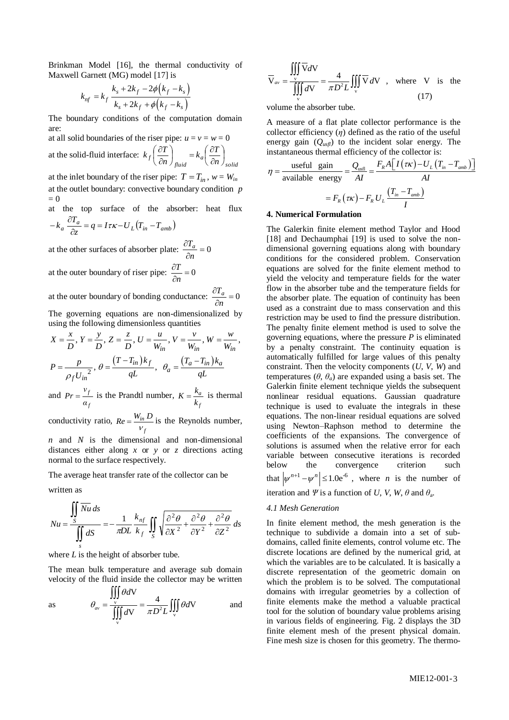Brinkman Model [16], the thermal conductivity of Maxwell Garnett (MG) model [17] is

$$
k_{nf} = k_f \frac{k_s + 2k_f - 2\phi(k_f - k_s)}{k_s + 2k_f + \phi(k_f - k_s)}
$$

The boundary conditions of the computation domain are:

at all solid boundaries of the riser pipe:  $u = v = w = 0$ at the solid-fluid interface: *solid a fluid*  $f\left(\overline{\partial n}\right)_{fluid} = \kappa_a\left(\overline{\partial n}\right)$  $\left(\frac{T}{n}\right)_{fluid} = k_a \left(\frac{\partial T}{\partial n}\right)$  $k_f\left(\frac{\partial T}{\partial t}\right) = k_a\left(\frac{\partial T}{\partial t}\right)$ )  $\left(\frac{\partial T}{\partial t}\right)$ l ſ  $\partial$  $k_a\left(\frac{\partial}{\partial x}\right)$ J  $\left(\frac{\partial T}{\partial t}\right)$  $\setminus$ ſ  $\partial$  $\partial$ 

at the inlet boundary of the riser pipe:  $T = T_{in}$ ,  $w = W_{in}$ at the outlet boundary: convective boundary condition *p*  $= 0$ 

at the top surface of the absorber: heat flux *a*  $\partial T$ 

$$
-k_a \frac{\partial I_a}{\partial z} = q = I \tau \kappa - U_L (T_{in} - T_{amb})
$$

at the other surfaces of absorber plate:  $\frac{\partial u_a}{\partial n} = 0$  $\partial$ *n Ta*

at the outer boundary of riser pipe: 
$$
\frac{\partial T}{\partial n} = 0
$$

at the outer boundary of bonding conductance:  $\frac{\partial^2 a}{\partial n} = 0$  $\partial$ *n Ta* The governing equations are non-dimensionalized by

using the following dimensionless quantities<br>  $X = \frac{x}{D}, Y = \frac{y}{D}, Z = \frac{z}{D}, U = \frac{u}{W}, V = \frac{v}{W}, W = \frac{w}{W}$ 

$$
X = \frac{x}{D}, Y = \frac{y}{D}, Z = \frac{z}{D}, U = \frac{u}{W_{in}}, V = \frac{v}{W_{in}}, W = \frac{w}{W_{in}}
$$
  

$$
P = \frac{p}{\rho_f U_{in}^2}, \theta = \frac{(T - T_{in})k_f}{qL}, \theta_a = \frac{(T_a - T_{in})k_a}{qL}
$$

and  $Pr = \frac{V_f}{V}$ *f Pr* =  $\frac{v_f}{\alpha_f}$  is the Prandtl number,  $K = \frac{k_a}{k_f}$ *f*  $K = \frac{k_a}{k_f}$  is thermal

conductivity ratio,  $Re = \frac{W_{in}}{W_{in}}$ *f*  $Re = \frac{W_{in} D}{V_{\text{f}}}$  is the Reynolds number,

*n* and *N* is the dimensional and non-dimensional distances either along *x* or *y* or *z* directions acting normal to the surface respectively.

The average heat transfer rate of the collector can be

written as

$$
Nu = \frac{\iint\limits_{S} \overline{Nu} \, ds}{\iint\limits_{S} dS} = -\frac{1}{\pi DL} \frac{k_{nf}}{k_{f}} \iint\limits_{S} \sqrt{\frac{\partial^{2} \theta}{\partial X^{2}} + \frac{\partial^{2} \theta}{\partial Y^{2}} + \frac{\partial^{2} \theta}{\partial Z^{2}}} \, ds
$$

where *L* is the height of absorber tube.

The mean bulk temperature and average sub domain velocity of the fluid inside the collector may be written

as 
$$
\theta_{av} = \frac{\iiint \theta dV}{\iiint \sqrt{dV}} = \frac{4}{\pi D^2 L} \iiint_{V} \theta dV
$$
 and

$$
\overline{V}_{av} = \frac{\iiint_{v} \overline{V}dV}{\iiint_{v} dV} = \frac{4}{\pi D^{2}L} \iiint_{v} \overline{V}dV, \text{ where } V \text{ is the}
$$
\n(17)

volume the absorber tube.

A measure of a flat plate collector performance is the collector efficiency  $(\eta)$  defined as the ratio of the useful energy gain ( $Q_{usfl}$ ) to the incident solar energy. The

integly gain 
$$
(Q_{usfl})
$$
 to the incident soa energy. The  
instantaneous thermal efficiency of the collector is:  

$$
\eta = \frac{\text{useful gain}}{\text{available energy}} = \frac{Q_{usfl}}{AI} = \frac{F_R A \left[I(\tau \kappa) - U_L (T_{in} - T_{amb})\right]}{AI}
$$

$$
= F_R (\tau \kappa) - F_R U_L \frac{(T_{in} - T_{amb})}{I}
$$

### **4. Numerical Formulation**

The Galerkin finite element method Taylor and Hood [18] and Dechaumphai [19] is used to solve the nondimensional governing equations along with boundary conditions for the considered problem. Conservation equations are solved for the finite element method to yield the velocity and temperature fields for the water flow in the absorber tube and the temperature fields for the absorber plate. The equation of continuity has been used as a constraint due to mass conservation and this restriction may be used to find the pressure distribution. The penalty finite element method is used to solve the governing equations, where the pressure *P* is eliminated by a penalty constraint. The continuity equation is automatically fulfilled for large values of this penalty constraint. Then the velocity components (*U*, *V*, *W*) and temperatures  $(\theta, \theta_a)$  are expanded using a basis set. The Galerkin finite element technique yields the subsequent nonlinear residual equations. Gaussian quadrature technique is used to evaluate the integrals in these equations. The non-linear residual equations are solved using Newton–Raphson method to determine the coefficients of the expansions. The convergence of solutions is assumed when the relative error for each variable between consecutive iterations is recorded below the convergence criterion such that  $|\psi^{n+1} - \psi^n| \leq 1.0e^{-6}$ , where *n* is the number of iteration and *Ψ* is a function of *U*, *V*, *W*,  $\theta$  and  $\theta$ <sub>a</sub>.

### *4.1 Mesh Generation*

In finite element method, the mesh generation is the technique to subdivide a domain into a set of subdomains, called finite elements, control volume etc. The discrete locations are defined by the numerical grid, at which the variables are to be calculated. It is basically a discrete representation of the geometric domain on which the problem is to be solved. The computational domains with irregular geometries by a collection of finite elements make the method a valuable practical tool for the solution of boundary value problems arising in various fields of engineering. Fig. 2 displays the 3D finite element mesh of the present physical domain. Fine mesh size is chosen for this geometry. The thermo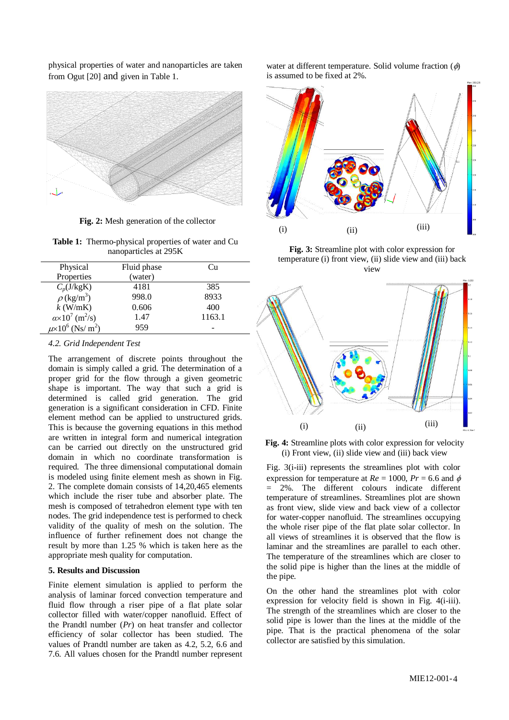physical properties of water and nanoparticles are taken from Ogut [20] and given in Table 1.



**Fig. 2:** Mesh generation of the collector

**Table 1:** Thermo-physical properties of water and Cu nanoparticles at 295K

| Physical                                     | Fluid phase | Сu     |
|----------------------------------------------|-------------|--------|
| Properties                                   | (water)     |        |
| $C_p$ (J/kgK)                                | 4181        | 385    |
| $\rho$ (kg/m <sup>3</sup> )                  | 998.0       | 8933   |
| $k$ (W/mK)                                   | 0.606       | 400    |
| $\alpha \times 10^7$ (m <sup>2</sup> /s)     | 1.47        | 1163.1 |
| $\mu$ ×10 <sup>6</sup> (Ns/ m <sup>2</sup> ) | 959         |        |

### *4.2. Grid Independent Test*

The arrangement of discrete points throughout the domain is simply called a grid. The determination of a proper grid for the flow through a given geometric shape is important. The way that such a grid is determined is called grid generation. The grid generation is a significant consideration in CFD. Finite element method can be applied to unstructured grids. This is because the governing equations in this method are written in integral form and numerical integration can be carried out directly on the unstructured grid domain in which no coordinate transformation is required. The three dimensional computational domain is modeled using finite element mesh as shown in Fig. 2. The complete domain consists of 14,20,465 elements which include the riser tube and absorber plate. The mesh is composed of tetrahedron element type with ten nodes. The grid independence test is performed to check validity of the quality of mesh on the solution. The influence of further refinement does not change the result by more than 1.25 % which is taken here as the appropriate mesh quality for computation.

### **5. Results and Discussion**

Finite element simulation is applied to perform the analysis of laminar forced convection temperature and fluid flow through a riser pipe of a flat plate solar collector filled with water/copper nanofluid. Effect of the Prandtl number (*Pr*) on heat transfer and collector efficiency of solar collector has been studied. The values of Prandtl number are taken as 4.2, 5.2, 6.6 and 7.6. All values chosen for the Prandtl number represent water at different temperature. Solid volume fraction  $(\phi)$ is assumed to be fixed at 2%.



**Fig. 3:** Streamline plot with color expression for temperature (i) front view, (ii) slide view and (iii) back view



**Fig. 4:** Streamline plots with color expression for velocity (i) Front view, (ii) slide view and (iii) back view

Fig. 3(i-iii) represents the streamlines plot with color expression for temperature at  $Re = 1000$ ,  $Pr = 6.6$  and  $\phi$  $= 2\%$ . The different colours indicate different temperature of streamlines. Streamlines plot are shown as front view, slide view and back view of a collector for water-copper nanofluid. The streamlines occupying the whole riser pipe of the flat plate solar collector. In all views of streamlines it is observed that the flow is laminar and the streamlines are parallel to each other. The temperature of the streamlines which are closer to the solid pipe is higher than the lines at the middle of the pipe.

On the other hand the streamlines plot with color expression for velocity field is shown in Fig. 4(i-iii). The strength of the streamlines which are closer to the solid pipe is lower than the lines at the middle of the pipe. That is the practical phenomena of the solar collector are satisfied by this simulation.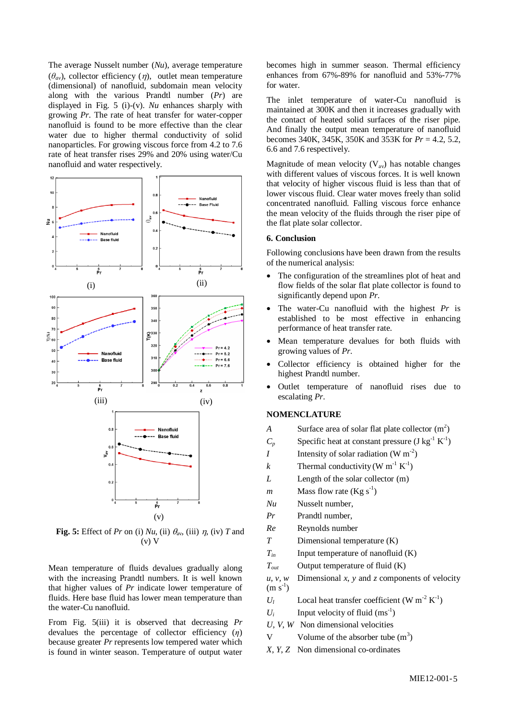The average Nusselt number (*Nu*), average temperature  $(\theta_{av})$ , collector efficiency  $(\eta)$ , outlet mean temperature (dimensional) of nanofluid, subdomain mean velocity along with the various Prandtl number (*Pr*) are displayed in Fig. 5 (i)-(v). *Nu* enhances sharply with growing *Pr*. The rate of heat transfer for water-copper nanofluid is found to be more effective than the clear water due to higher thermal conductivity of solid nanoparticles. For growing viscous force from 4.2 to 7.6 rate of heat transfer rises 29% and 20% using water/Cu nanofluid and water respectively.



**Fig. 5:** Effect of *Pr* on (i) *Nu*, (ii)  $\theta_{av}$ , (iii)  $\eta$ , (iv) *T* and  $(v)$  V

Mean temperature of fluids devalues gradually along with the increasing Prandtl numbers. It is well known that higher values of *Pr* indicate lower temperature of fluids. Here base fluid has lower mean temperature than the water-Cu nanofluid.

From Fig. 5(iii) it is observed that decreasing *Pr* devalues the percentage of collector efficiency (*η*) because greater *Pr* represents low tempered water which is found in winter season. Temperature of output water becomes high in summer season. Thermal efficiency enhances from 67%-89% for nanofluid and 53%-77% for water.

The inlet temperature of water-Cu nanofluid is maintained at 300K and then it increases gradually with the contact of heated solid surfaces of the riser pipe. And finally the output mean temperature of nanofluid becomes 340K, 345K, 350K and 353K for *Pr* = 4.2, 5.2, 6.6 and 7.6 respectively.

Magnitude of mean velocity  $(V_{av})$  has notable changes with different values of viscous forces. It is well known that velocity of higher viscous fluid is less than that of lower viscous fluid. Clear water moves freely than solid concentrated nanofluid. Falling viscous force enhance the mean velocity of the fluids through the riser pipe of the flat plate solar collector.

# **6. Conclusion**

Following conclusions have been drawn from the results of the numerical analysis:

- The configuration of the streamlines plot of heat and flow fields of the solar flat plate collector is found to significantly depend upon *Pr*.
- The water-Cu nanofluid with the highest *Pr* is established to be most effective in enhancing performance of heat transfer rate.
- Mean temperature devalues for both fluids with growing values of *Pr*.
- Collector efficiency is obtained higher for the highest Prandtl number.
- Outlet temperature of nanofluid rises due to escalating *Pr*.

#### **NOMENCLATURE**

- A Surface area of solar flat plate collector  $(m^2)$
- $C_p$  Specific heat at constant pressure (J kg<sup>-1</sup> K<sup>-1</sup>)
- *I* Intensity of solar radiation (W  $m^{-2}$ )
- *k* Thermal conductivity (W  $m^{-1} K^{-1}$ )
- *L* Length of the solar collector (m)
- *m* Mass flow rate  $(Kg s^{-1})$
- *Nu* Nusselt number,
- *Pr* Prandtl number,
- *Re* Reynolds number
- *T* Dimensional temperature (K)
- $T_{in}$  Input temperature of nanofluid (K)
- *Tout* Output temperature of fluid (K)
- $u, v, w$  Dimensional *x*, *y* and *z* components of velocity  $(m s<sup>-1</sup>)$

 $U_l$  Local heat transfer coefficient (W m<sup>-2</sup> K<sup>-1</sup>)

- $U_i$  Input velocity of fluid (ms<sup>-1</sup>)
- *U*, *V*, *W* Non dimensional velocities
- V Volume of the absorber tube  $(m<sup>3</sup>)$
- *X*, *Y*, *Z* Non dimensional co-ordinates